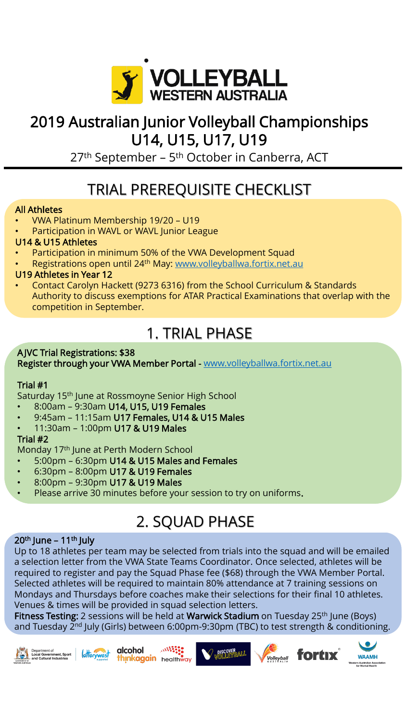

### 2019 Australian Junior Volleyball Championships U14, U15, U17, U19

27<sup>th</sup> September – 5<sup>th</sup> October in Canberra, ACT

# TRIAL PREREQUISITE CHECKLIST

#### All Athletes

- VWA Platinum Membership 19/20 U19
- Participation in WAVL or WAVL Junior League

### U14 & U15 Athletes

- Participation in minimum 50% of the VWA Development Squad
- Registrations open until 24<sup>th</sup> May: [www.volleyballwa.fortix.net.au](http://www.volleyballwa.fortix.net.au/)

#### U19 Athletes in Year 12

• Contact Carolyn Hackett (9273 6316) from the School Curriculum & Standards Authority to discuss exemptions for ATAR Practical Examinations that overlap with the competition in September.

## 1. TRIAL PHASE

#### A JVC Trial Registrations: \$38 Register through your VWA Member Portal - [www.volleyballwa.fortix.net.au](http://www.volleyballwa.fortix.net.au/)

### Trial #1

Saturday 15<sup>th</sup> June at Rossmoyne Senior High School

- 8:00am 9:30am U14, U15, U19 Females
- 9:45am 11:15am U17 Females, U14 & U15 Males
- 11:30am 1:00pm U17 & U19 Males

#### Trial #2

Monday 17th June at Perth Modern School

- 5:00pm 6:30pm U14 & U15 Males and Females
- 6:30pm 8:00pm U17 & U19 Females
- 8:00pm 9:30pm U17 & U19 Males
- Please arrive 30 minutes before your session to try on uniforms.

# 2. SQUAD PHASE

#### $20<sup>th</sup>$  June – 11<sup>th</sup> July

Up to 18 athletes per team may be selected from trials into the squad and will be emailed a selection letter from the VWA State Teams Coordinator. Once selected, athletes will be required to register and pay the Squad Phase fee (\$68) through the VWA Member Portal. Selected athletes will be required to maintain 80% attendance at 7 training sessions on Mondays and Thursdays before coaches make their selections for their final 10 athletes. Venues & times will be provided in squad selection letters.

Fitness Testing: 2 sessions will be held at Warwick Stadium on Tuesday 25<sup>th</sup> June (Boys) and Tuesday 2<sup>nd</sup> July (Girls) between 6:00pm-9:30pm (TBC) to test strength & conditioning.